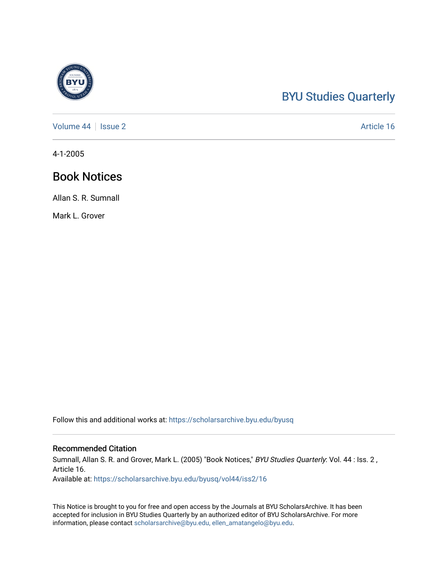# [BYU Studies Quarterly](https://scholarsarchive.byu.edu/byusq)

[Volume 44](https://scholarsarchive.byu.edu/byusq/vol44) | [Issue 2](https://scholarsarchive.byu.edu/byusq/vol44/iss2) Article 16

4-1-2005

# Book Notices

Allan S. R. Sumnall

Mark L. Grover

Follow this and additional works at: [https://scholarsarchive.byu.edu/byusq](https://scholarsarchive.byu.edu/byusq?utm_source=scholarsarchive.byu.edu%2Fbyusq%2Fvol44%2Fiss2%2F16&utm_medium=PDF&utm_campaign=PDFCoverPages) 

## Recommended Citation

Sumnall, Allan S. R. and Grover, Mark L. (2005) "Book Notices," BYU Studies Quarterly: Vol. 44 : Iss. 2, Article 16.

Available at: [https://scholarsarchive.byu.edu/byusq/vol44/iss2/16](https://scholarsarchive.byu.edu/byusq/vol44/iss2/16?utm_source=scholarsarchive.byu.edu%2Fbyusq%2Fvol44%2Fiss2%2F16&utm_medium=PDF&utm_campaign=PDFCoverPages) 

This Notice is brought to you for free and open access by the Journals at BYU ScholarsArchive. It has been accepted for inclusion in BYU Studies Quarterly by an authorized editor of BYU ScholarsArchive. For more information, please contact [scholarsarchive@byu.edu, ellen\\_amatangelo@byu.edu.](mailto:scholarsarchive@byu.edu,%20ellen_amatangelo@byu.edu)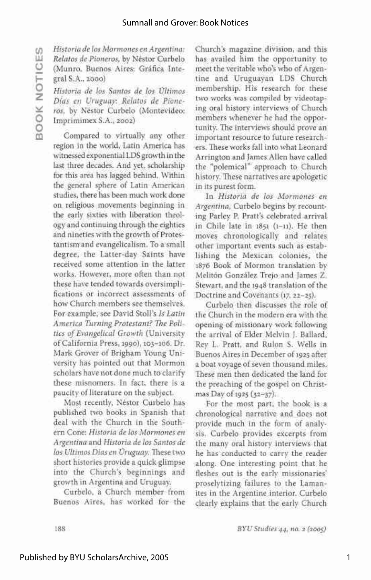(fl *Historia de los Mormones en Argentina: Relatos de Pioneros,* by Nestor Curbelo (Munro, Buenos Aires: Grafica Inte gral S.A., 2000)

~ *Historia de los Santos de los Ultimos Dias en Uruguay: Relatos de Pioneros,* by Nestor Curbelo (Montevideo: Imprimimex S.A., 2002)

Compared to virtually any other region in the world, Latin America has witnessed exponential LDS growth in the last three decades. And yet, scholarship for this area has lagged behind. Within the general sphere of Latin American studies, there has been much work done on religious movements beginning in the early sixties with liberation theology and continuing through the eighties and nineties with the growth of Protestantism and evangelicalism. To a small degree, the Latter-day Saints have received some attention in the latterworks. However, more often than not these have tended towards oversimplifications or incorrect assessments of how Church members see themselves. For example, see David Stoll's Is Latin America Turning Protestant? The Politics of Evangelical Growth (University of California Press, 1990), 103-106. Dr. Mark Grover of Brigham Young University has pointed out that Mormon scholars have not done much to clarify these misnomers. In fact, there is a paucity of literature on the subject.

Most recently, Nestor Curbelo has published two books in Spanish that deal with the Church in the Southern Cone: Historia de los Mormones en Argentina and Historia de los Santos de *<i>los Ultimos Dias en Uruguay*. These two short histories provide a quick glimpse into the Church's beginnings and growth in Argentina and Uruguay.

Curbelo, a Church member from Buenos Aires, has worked for the Buenos Aires, has worked for the

Church's magazine division, and this has availed him the opportunity to meet the veritable who's who of Argentine and Uruguayan LDS Church membership. His research for these two works was compiled by videotaping oral history interviews of Church members whenever he had the opportunity. The interviews should prove an important resource to future researchers. These works fall into what Leonard Arrington and James Allen have called the "polemical" approach to Church history. These narratives are apologetic in its purest form.

In *Historia de los Mormones en Argentina,* Curbelo begins by recounting Parley P. Pratt's celebrated arrival in Chile late in 1851 (1-11). He then moves chronologically and relates other important events such as establishing the Mexican colonies, the 1876 Book of Mormon translation by Meliton Gonzalez Trejo and James Z. Stewart, and the 1948 translation of the Doctrine and Covenants (17, 22-25).

Curbelo then discusses the role of the Church in the modern era with the opening of missionary work following the arrival of Elder Melvin J. Ballard, Rev L. Pratt, and Rulon S. Wells in Buenos Aires in December of 1925 after a boat voyage of seven thousand miles. These men then dedicated the land for the preaching of the gospel on Christmas Day of 1925 (32-37).

For the most part, the book is a chronological narrative and does not provide much in the form of analysis. Curbelo provides excerpts from the many oral history interviews that he has conducted to carry the reader along. One interesting point that he fleshes out is the early missionaries' proselytizing failures to the Lamanites in the Argentine interior. Curbelo clearly explains that the early Church

188 *BYU Studies 44, no. 2 (2005)*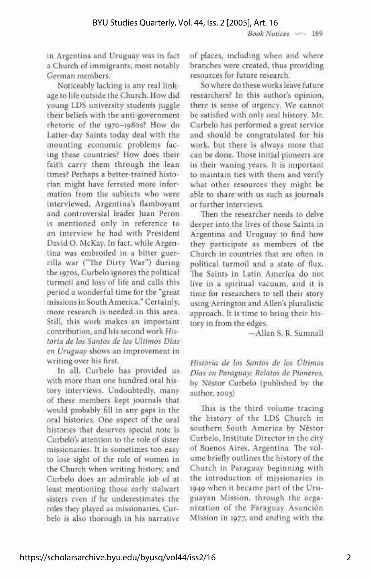*Book Notices* — 189

in Argentina and Uruguay was in fact a Church of immigrants, most notably German members.

Noticeably lacking is any real linkage to life outside the Church. How did young LDS university students juggle their beliefs with the anti-government rhetoric of the 1970-1980S? How do Latter-day Saints today deal with the mounting economic problems facing these countries? How does their faith carry them through the lean times? Perhaps a better-trained historian might have ferreted more information from the subjects who were interviewed. Argentina's flamboyant and controversial leader Juan Peron is mentioned only in reference to an interview he had with President David O. McKay. In fact, while Argentina was embroiled in a bitter guerrilla war ("The Dirty War") during the 1970s, Curbelo ignores the political turmoil and loss of life and calls this period a wonderful time for the "great missions in South America." Certainly, more research is needed in this area. Still, this work makes an important contribution, and his second work *Historia de los Santos de los Ultimos Dias en Uruguay* shows an improvement in writing over his first.

In all, Curbelo has provided us with more than one hundred oral history interviews. Undoubtedly, many of these members kept journals that would probably fill in any gaps in the oral histories. One aspect of the oral histories that deserves special note is Curbelo's attention to the role of sister missionaries. It is sometimes too easy to lose sight of the role of women in the Church when writing history, and Curbelo does an admirable job of at least mentioning those early stalwart sisters even if he underestimates the roles they played as missionaries. Curbelo is also thorough in his narrative

of places, including when and where branches were created, thus providing resources for future research.

So where do these works leave future researchers? In this author's opinion, there is sense of urgency. We cannot be satisfied with only oral history. Mr. Curbelo has performed a great service and should be congratulated for his work, but there is always more that can be done. Those initial pioneers are in their waning years. It is important to maintain ties with them and verify what other resources they might be able to share with us such as journals or further interviews.

Then the researcher needs to delve deeper into the lives of those Saints in Argentina and Uruguay to find how they participate as members of the Church in countries that are often in political turmoil and a state of flux. The Saints in Latin America do not live in a spiritual vacuum, and it is time for researchers to tell their story using Arrington and Allen's pluralistic approach. It is time to bring their history in from the edges.

—Allan S. R. Sumnall

*Historia de los Santos de los Ultimos Dias en Paraguay: Relatos de Pioneros,*  by Nestor Curbelo (published by the author, 2003)

This is the third volume tracing the history of the LDS Church in southern South America by Nestor Curbelo, Institute Director in the city of Buenos Aires, Argentina. The volume briefly outlines the history of the Church in Paraguay beginning with the introduction of missionaries in 1949 when it became part of the Uruguayan Mission, through the organization of the Paraguay Asuncion Mission in 1977, and ending with the